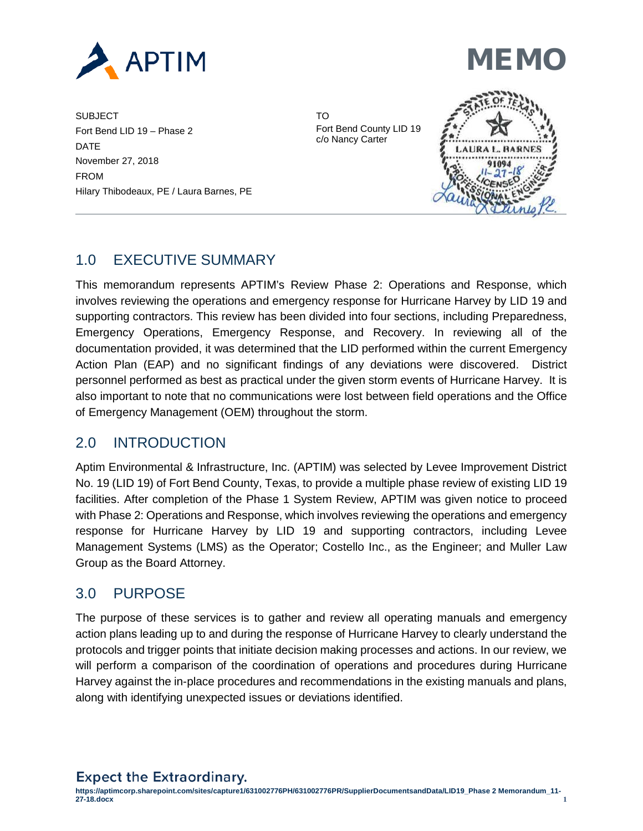

**MEMO** 

SUBJECT TO TO THE SUBJECT TO THE SUBJECT TO THE SUBJECT TO THE SUBJECTION OF THE SUBJECTION OF THE SUBJECTION OF THE SUBJECTION OF THE SUBJECTION OF THE SUBJECTION OF THE SUBJECTION OF THE SUBJECTION OF THE SUBJECTION OF T Fort Bend LID 19 – Phase 2 Fort Bend County LID 19 c/o Nancy Carter DATE November 27, 2018 FROM Hilary Thibodeaux, PE / Laura Barnes, PE



# 1.0 EXECUTIVE SUMMARY

This memorandum represents APTIM's Review Phase 2: Operations and Response, which involves reviewing the operations and emergency response for Hurricane Harvey by LID 19 and supporting contractors. This review has been divided into four sections, including Preparedness, Emergency Operations, Emergency Response, and Recovery. In reviewing all of the documentation provided, it was determined that the LID performed within the current Emergency Action Plan (EAP) and no significant findings of any deviations were discovered. District personnel performed as best as practical under the given storm events of Hurricane Harvey. It is also important to note that no communications were lost between field operations and the Office of Emergency Management (OEM) throughout the storm.

# 2.0 INTRODUCTION

Aptim Environmental & Infrastructure, Inc. (APTIM) was selected by Levee Improvement District No. 19 (LID 19) of Fort Bend County, Texas, to provide a multiple phase review of existing LID 19 facilities. After completion of the Phase 1 System Review, APTIM was given notice to proceed with Phase 2: Operations and Response, which involves reviewing the operations and emergency response for Hurricane Harvey by LID 19 and supporting contractors, including Levee Management Systems (LMS) as the Operator; Costello Inc., as the Engineer; and Muller Law Group as the Board Attorney.

# 3.0 PURPOSE

The purpose of these services is to gather and review all operating manuals and emergency action plans leading up to and during the response of Hurricane Harvey to clearly understand the protocols and trigger points that initiate decision making processes and actions. In our review, we will perform a comparison of the coordination of operations and procedures during Hurricane Harvey against the in-place procedures and recommendations in the existing manuals and plans, along with identifying unexpected issues or deviations identified.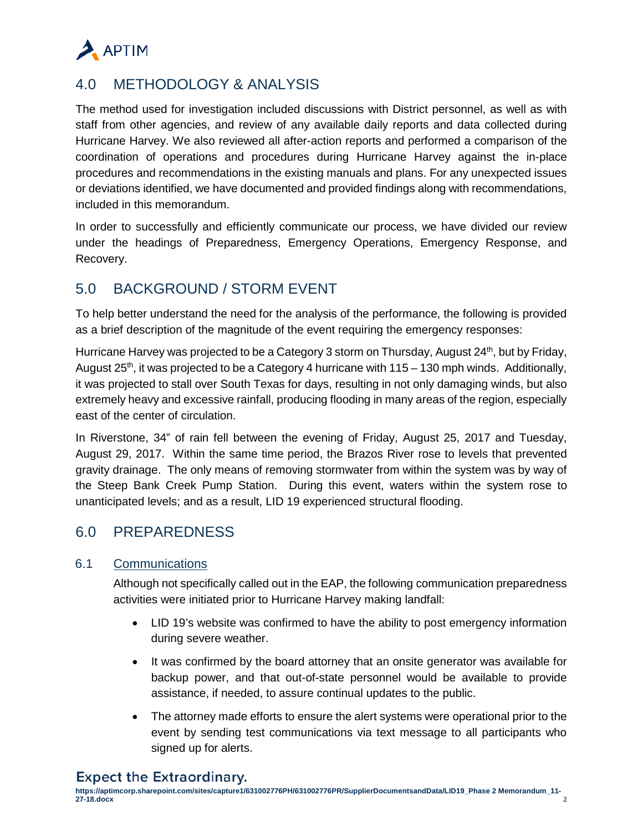

# 4.0 METHODOLOGY & ANALYSIS

The method used for investigation included discussions with District personnel, as well as with staff from other agencies, and review of any available daily reports and data collected during Hurricane Harvey. We also reviewed all after-action reports and performed a comparison of the coordination of operations and procedures during Hurricane Harvey against the in-place procedures and recommendations in the existing manuals and plans. For any unexpected issues or deviations identified, we have documented and provided findings along with recommendations, included in this memorandum.

In order to successfully and efficiently communicate our process, we have divided our review under the headings of Preparedness, Emergency Operations, Emergency Response, and Recovery.

# 5.0 BACKGROUND / STORM EVENT

To help better understand the need for the analysis of the performance, the following is provided as a brief description of the magnitude of the event requiring the emergency responses:

Hurricane Harvey was projected to be a Category 3 storm on Thursday, August  $24<sup>th</sup>$ , but by Friday, August 25th, it was projected to be a Category 4 hurricane with 115 – 130 mph winds. Additionally, it was projected to stall over South Texas for days, resulting in not only damaging winds, but also extremely heavy and excessive rainfall, producing flooding in many areas of the region, especially east of the center of circulation.

In Riverstone, 34" of rain fell between the evening of Friday, August 25, 2017 and Tuesday, August 29, 2017. Within the same time period, the Brazos River rose to levels that prevented gravity drainage. The only means of removing stormwater from within the system was by way of the Steep Bank Creek Pump Station. During this event, waters within the system rose to unanticipated levels; and as a result, LID 19 experienced structural flooding.

# 6.0 PREPAREDNESS

### 6.1 Communications

Although not specifically called out in the EAP, the following communication preparedness activities were initiated prior to Hurricane Harvey making landfall:

- LID 19's website was confirmed to have the ability to post emergency information during severe weather.
- It was confirmed by the board attorney that an onsite generator was available for backup power, and that out-of-state personnel would be available to provide assistance, if needed, to assure continual updates to the public.
- The attorney made efforts to ensure the alert systems were operational prior to the event by sending test communications via text message to all participants who signed up for alerts.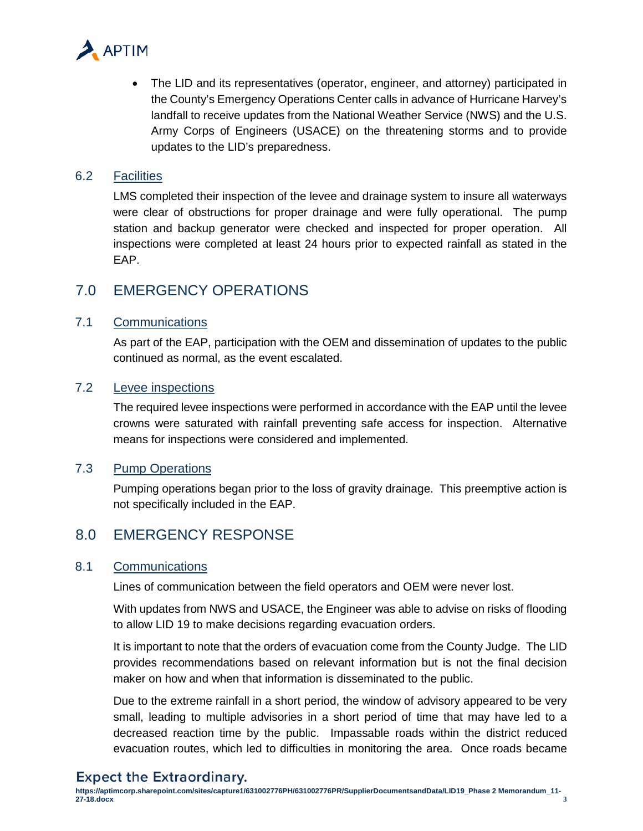

• The LID and its representatives (operator, engineer, and attorney) participated in the County's Emergency Operations Center calls in advance of Hurricane Harvey's landfall to receive updates from the National Weather Service (NWS) and the U.S. Army Corps of Engineers (USACE) on the threatening storms and to provide updates to the LID's preparedness.

#### 6.2 Facilities

LMS completed their inspection of the levee and drainage system to insure all waterways were clear of obstructions for proper drainage and were fully operational. The pump station and backup generator were checked and inspected for proper operation. All inspections were completed at least 24 hours prior to expected rainfall as stated in the EAP.

## 7.0 EMERGENCY OPERATIONS

#### 7.1 Communications

As part of the EAP, participation with the OEM and dissemination of updates to the public continued as normal, as the event escalated.

### 7.2 Levee inspections

The required levee inspections were performed in accordance with the EAP until the levee crowns were saturated with rainfall preventing safe access for inspection. Alternative means for inspections were considered and implemented.

#### 7.3 Pump Operations

Pumping operations began prior to the loss of gravity drainage. This preemptive action is not specifically included in the EAP.

## 8.0 EMERGENCY RESPONSE

#### 8.1 Communications

Lines of communication between the field operators and OEM were never lost.

With updates from NWS and USACE, the Engineer was able to advise on risks of flooding to allow LID 19 to make decisions regarding evacuation orders.

It is important to note that the orders of evacuation come from the County Judge. The LID provides recommendations based on relevant information but is not the final decision maker on how and when that information is disseminated to the public.

Due to the extreme rainfall in a short period, the window of advisory appeared to be very small, leading to multiple advisories in a short period of time that may have led to a decreased reaction time by the public. Impassable roads within the district reduced evacuation routes, which led to difficulties in monitoring the area. Once roads became

## **Expect the Extraordinary.**

**https://aptimcorp.sharepoint.com/sites/capture1/631002776PH/631002776PR/SupplierDocumentsandData/LID19\_Phase 2 Memorandum\_11- 27-18.docx 3**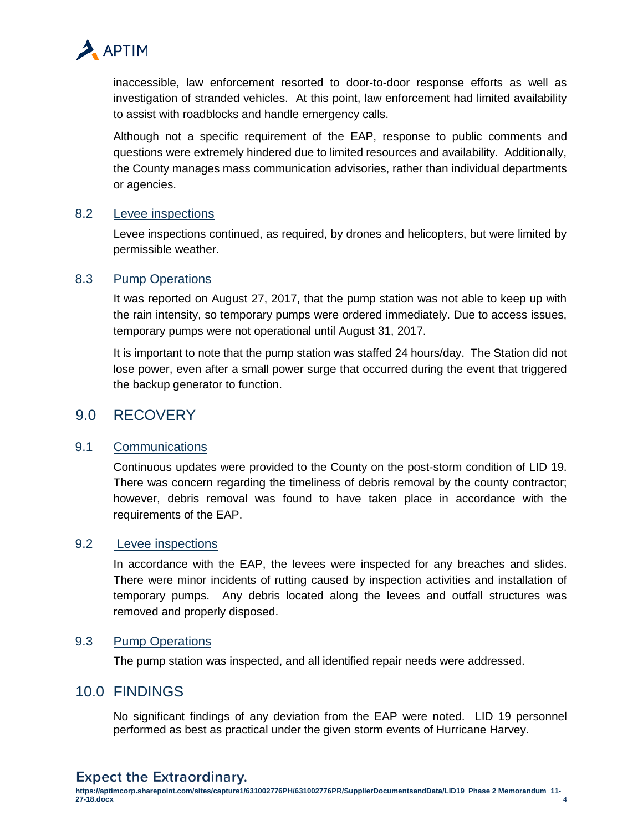

inaccessible, law enforcement resorted to door-to-door response efforts as well as investigation of stranded vehicles. At this point, law enforcement had limited availability to assist with roadblocks and handle emergency calls.

Although not a specific requirement of the EAP, response to public comments and questions were extremely hindered due to limited resources and availability. Additionally, the County manages mass communication advisories, rather than individual departments or agencies.

#### 8.2 Levee inspections

Levee inspections continued, as required, by drones and helicopters, but were limited by permissible weather.

#### 8.3 Pump Operations

It was reported on August 27, 2017, that the pump station was not able to keep up with the rain intensity, so temporary pumps were ordered immediately. Due to access issues, temporary pumps were not operational until August 31, 2017.

It is important to note that the pump station was staffed 24 hours/day. The Station did not lose power, even after a small power surge that occurred during the event that triggered the backup generator to function.

## 9.0 RECOVERY

#### 9.1 Communications

Continuous updates were provided to the County on the post-storm condition of LID 19. There was concern regarding the timeliness of debris removal by the county contractor; however, debris removal was found to have taken place in accordance with the requirements of the EAP.

#### 9.2 Levee inspections

In accordance with the EAP, the levees were inspected for any breaches and slides. There were minor incidents of rutting caused by inspection activities and installation of temporary pumps. Any debris located along the levees and outfall structures was removed and properly disposed.

#### 9.3 Pump Operations

The pump station was inspected, and all identified repair needs were addressed.

## 10.0 FINDINGS

No significant findings of any deviation from the EAP were noted. LID 19 personnel performed as best as practical under the given storm events of Hurricane Harvey.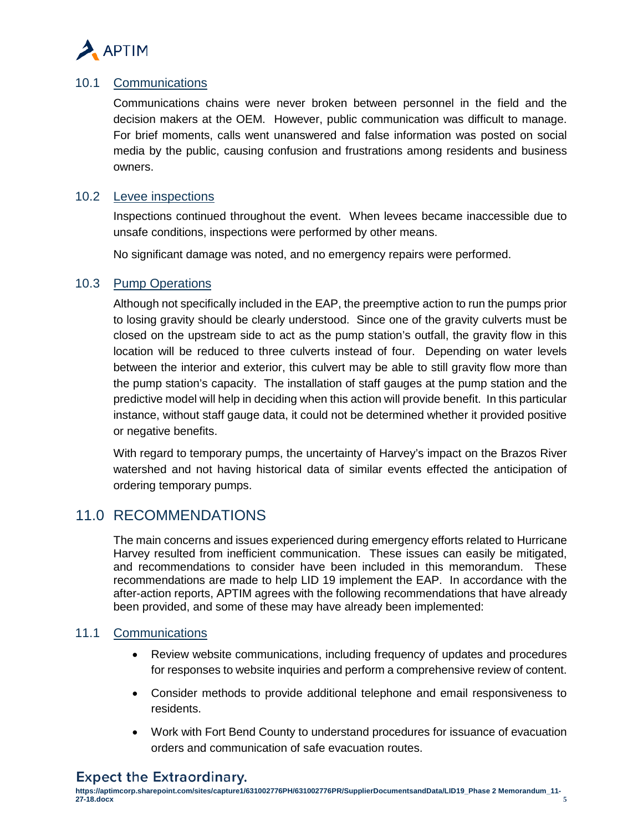

### 10.1 Communications

Communications chains were never broken between personnel in the field and the decision makers at the OEM. However, public communication was difficult to manage. For brief moments, calls went unanswered and false information was posted on social media by the public, causing confusion and frustrations among residents and business owners.

### 10.2 Levee inspections

Inspections continued throughout the event. When levees became inaccessible due to unsafe conditions, inspections were performed by other means.

No significant damage was noted, and no emergency repairs were performed.

#### 10.3 Pump Operations

Although not specifically included in the EAP, the preemptive action to run the pumps prior to losing gravity should be clearly understood. Since one of the gravity culverts must be closed on the upstream side to act as the pump station's outfall, the gravity flow in this location will be reduced to three culverts instead of four. Depending on water levels between the interior and exterior, this culvert may be able to still gravity flow more than the pump station's capacity. The installation of staff gauges at the pump station and the predictive model will help in deciding when this action will provide benefit. In this particular instance, without staff gauge data, it could not be determined whether it provided positive or negative benefits.

With regard to temporary pumps, the uncertainty of Harvey's impact on the Brazos River watershed and not having historical data of similar events effected the anticipation of ordering temporary pumps.

## 11.0 RECOMMENDATIONS

The main concerns and issues experienced during emergency efforts related to Hurricane Harvey resulted from inefficient communication. These issues can easily be mitigated, and recommendations to consider have been included in this memorandum. These recommendations are made to help LID 19 implement the EAP. In accordance with the after-action reports, APTIM agrees with the following recommendations that have already been provided, and some of these may have already been implemented:

#### 11.1 Communications

- Review website communications, including frequency of updates and procedures for responses to website inquiries and perform a comprehensive review of content.
- Consider methods to provide additional telephone and email responsiveness to residents.
- Work with Fort Bend County to understand procedures for issuance of evacuation orders and communication of safe evacuation routes.

## **Expect the Extraordinary.**

**https://aptimcorp.sharepoint.com/sites/capture1/631002776PH/631002776PR/SupplierDocumentsandData/LID19\_Phase 2 Memorandum\_11- 27-18.docx 5**